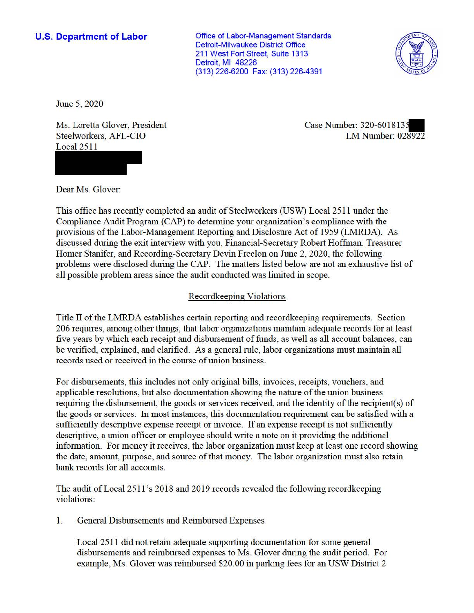## **U.S. Department of Labor**

Office of Labor-Management Standards Detroit-Milwaukee District Office 211 West Fort Street, Suite 1313 Detroit, Ml 48226 (313) 226-6200 Fax: (313) 226-4391



June 5, 2020

Ms. Loretta Glover, President Steelworkers, AFL-CIO Local 2511

Case Number: 320-601813. LM Number: 028922

Dear Ms. Glover:

This office has recently completed an audit of Steelworkers (USW) Local 2511 under the Compliance Audit Program (CAP) to detennine your organization's compliance with the provisions of the Labor-Management Reporting and Disclosure Act of 1959 (LMRDA). As discussed during the exit interview with you, Financial-Secretary Robert Hoffman, Treasurer Homer Stanifer, and Recording-Secretary Devin Freelon on June 2, 2020, the following problems were disclosed during the CAP. The matters listed below are not an exhaustive list of all possible problem areas since the audit conducted was limited in scope.

## Recordkeeping Violations

Title II of the LMRDA establishes certain reporting and recordkeeping requirements. Section 206 requires, among other things, that labor organizations maintain adequate records for at least five years by which each receipt and disbursement of funds, as well as all account balances, can be verified, explained, and clarified. As a general rule, labor organizations must maintain all records used or received in the course of union business.

For disbursements, this includes not only original bills, invoices, receipts, vouchers, and applicable resolutions, but also documentation showing the nature of the union business requiring the disbursement, the goods or services received, and the identity of the recipient(s) of the goods or services. In most instances, this documentation requirement can be satisfied with a sufficiently descriptive expense receipt or invoice. If an expense receipt is not sufficiently descriptive, a union officer or employee should write a note on it providing the additional information. For money it receives, the labor organization must keep at least one record showing the date, amount, purpose, and source of that money. The labor organization must also retain bank records for all accounts.

The audit of Local 2511's 2018 and 2019 records revealed the following recordkeeping violations:

1. General Disbursements and Reimbursed Expenses

Local 2511 did not retain adequate supporting documentation for some general disbursements and reimbursed expenses to Ms. Glover during the audit period. For example, Ms. Glover was reimbursed \$20.00 in parking fees for an USW District 2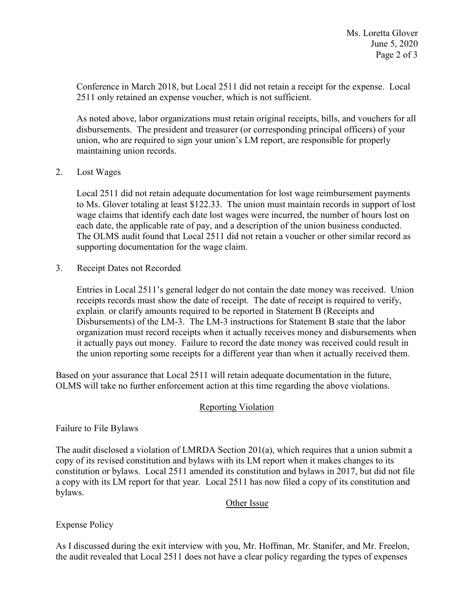Conference in March 2018, but Local 2511 did not retain a receipt for the expense. Local 2511 only retained an expense voucher, which is not sufficient.

 disbursements. The president and treasurer (or corresponding principal officers) of your As noted above, labor organizations must retain original receipts, bills, and vouchers for all union, who are required to sign your union's LM report, are responsible for properly maintaining union records.

2. Lost Wages

Local 2511 did not retain adequate documentation for lost wage reimbursement payments to Ms. Glover totaling at least \$122.33. The union must maintain records in support of lost wage claims that identify each date lost wages were incurred, the number of hours lost on each date, the applicable rate of pay, and a description of the union business conducted. The OLMS audit found that Local 2511 did not retain a voucher or other similar record as supporting documentation for the wage claim.

3. Receipt Dates not Recorded

 Disbursements) of the LM-3. The LM-3 instructions for Statement B state that the labor it actually pays out money. Failure to record the date money was received could result in Entries in Local 2511's general ledger do not contain the date money was received. Union receipts records must show the date of receipt. The date of receipt is required to verify, explain, or clarify amounts required to be reported in Statement B (Receipts and organization must record receipts when it actually receives money and disbursements when the union reporting some receipts for a different year than when it actually received them.

 Based on your assurance that Local 2511 will retain adequate documentation in the future, OLMS will take no further enforcement action at this time regarding the above violations.

## Reporting Violation

Failure to File Bylaws

The audit disclosed a violation of LMRDA Section 201(a), which requires that a union submit a copy of its revised constitution and bylaws with its LM report when it makes changes to its constitution or bylaws. Local 2511 amended its constitution and bylaws in 2017, but did not file a copy with its LM report for that year. Local 2511 has now filed a copy of its constitution and bylaws.

## Other Issue

Expense Policy

 the audit revealed that Local 2511 does not have a clear policy regarding the types of expenses As I discussed during the exit interview with you, Mr. Hoffman, Mr. Stanifer, and Mr. Freelon,